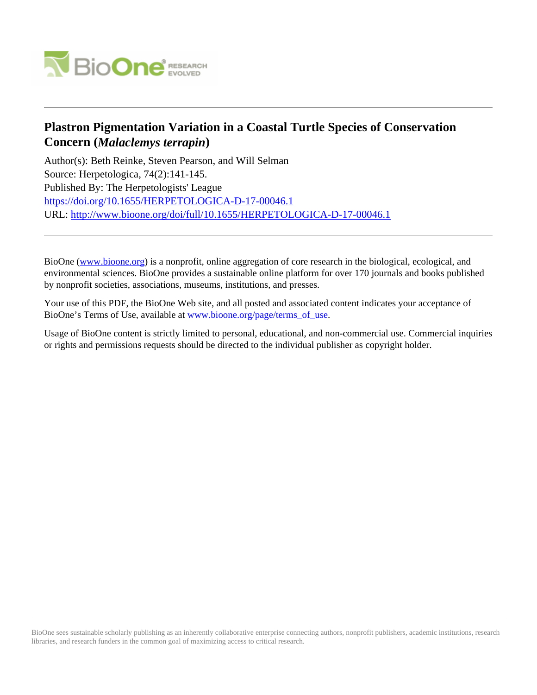

# **Plastron Pigmentation Variation in a Coastal Turtle Species of Conservation Concern (***Malaclemys terrapin***)**

Author(s): Beth Reinke, Steven Pearson, and Will Selman Source: Herpetologica, 74(2):141-145. Published By: The Herpetologists' League https://doi.org/10.1655/HERPETOLOGICA-D-17-00046.1 URL: http://www.bioone.org/doi/full/10.1655/HERPETOLOGICA-D-17-00046.1

BioOne (www.bioone.org) is a nonprofit, online aggregation of core research in the biological, ecological, and environmental sciences. BioOne provides a sustainable online platform for over 170 journals and books published by nonprofit societies, associations, museums, institutions, and presses.

Your use of this PDF, the BioOne Web site, and all posted and associated content indicates your acceptance of BioOne's Terms of Use, available at www.bioone.org/page/terms\_of\_use.

Usage of BioOne content is strictly limited to personal, educational, and non-commercial use. Commercial inquiries or rights and permissions requests should be directed to the individual publisher as copyright holder.

BioOne sees sustainable scholarly publishing as an inherently collaborative enterprise connecting authors, nonprofit publishers, academic institutions, research libraries, and research funders in the common goal of maximizing access to critical research.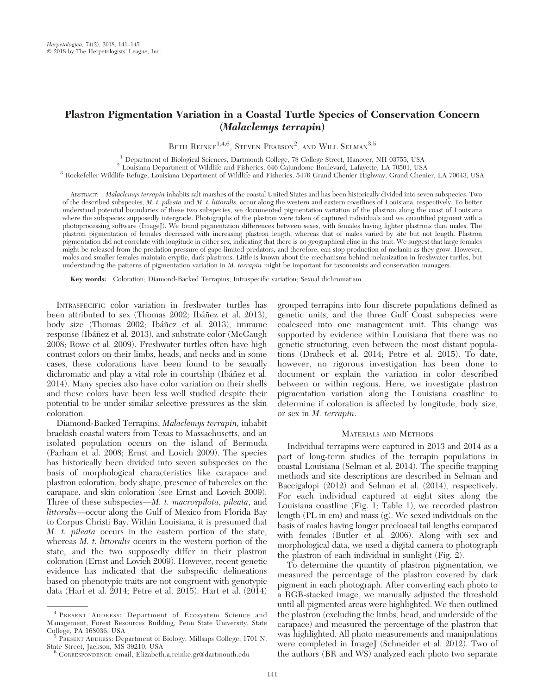# Plastron Pigmentation Variation in a Coastal Turtle Species of Conservation Concern (Malaclemys terrapin)

BETH REINKE<sup>1,4,6</sup>, STEVEN PEARSON<sup>2</sup>, AND WILL SELMAN<sup>3,5</sup>

 $^\mathrm{1}$  Department of Biological Sciences, Dartmouth College, 78 College Street, Hanover, NH 03755, USA $^\mathrm{2}$  Louisiana Department of Wildlife and Fisheries, 646 Cajundome Boulevard, Lafayette, LA 70501, USA  $^\mathrm{3}$  Rock

ABSTRACT: Malaclemys terrapin inhabits salt marshes of the coastal United States and has been historically divided into seven subspecies. Two of the described subspecies, M. t. pileata and M. t. littoralis, occur along the western and eastern coastlines of Louisiana, respectively. To better understand potential boundaries of these two subspecies, we documented pigmentation variation of the plastron along the coast of Louisiana where the subspecies supposedly intergrade. Photographs of the plastron were taken of captured individuals and we quantified pigment with a photoprocessing software (ImageJ). We found pigmentation differences between sexes, with females having lighter plastrons than males. The plastron pigmentation of females decreased with increasing plastron length, whereas that of males varied by site but not length. Plastron pigmentation did not correlate with longitude in either sex, indicating that there is no geographical cline in this trait. We suggest that large females might be released from the predation pressure of gape-limited predators, and therefore, can stop production of melanin as they grow. However, males and smaller females maintain cryptic, dark plastrons. Little is known about the mechanisms behind melanization in freshwater turtles, but understanding the patterns of pigmentation variation in M. terrapin might be important for taxonomists and conservation managers.

Key words: Coloration; Diamond-Backed Terrapins; Intraspecific variation; Sexual dichromatism

INTRASPECIFIC color variation in freshwater turtles has been attributed to sex (Thomas 2002; Ibáñez et al. 2013), body size (Thomas 2002; Ibáñez et al. 2013), immune response (Ibáñez et al. 2013), and substrate color (McGaugh 2008; Rowe et al. 2009). Freshwater turtles often have high contrast colors on their limbs, heads, and necks and in some cases, these colorations have been found to be sexually dichromatic and play a vital role in courtship (Ibáñez et al. 2014). Many species also have color variation on their shells and these colors have been less well studied despite their potential to be under similar selective pressures as the skin coloration.

Diamond-Backed Terrapins, Malaclemys terrapin, inhabit brackish coastal waters from Texas to Massachusetts, and an isolated population occurs on the island of Bermuda (Parham et al. 2008; Ernst and Lovich 2009). The species has historically been divided into seven subspecies on the basis of morphological characteristics like carapace and plastron coloration, body shape, presence of tubercles on the carapace, and skin coloration (see Ernst and Lovich 2009). Three of these subspecies—M. t. macrospilota, pileata, and littoralis—occur along the Gulf of Mexico from Florida Bay to Corpus Christi Bay. Within Louisiana, it is presumed that M. t. pileata occurs in the eastern portion of the state, whereas *M. t. littoralis* occurs in the western portion of the state, and the two supposedly differ in their plastron coloration (Ernst and Lovich 2009). However, recent genetic evidence has indicated that the subspecific delineations based on phenotypic traits are not congruent with genotypic data (Hart et al. 2014; Petre et al. 2015). Hart et al. (2014)

grouped terrapins into four discrete populations defined as genetic units, and the three Gulf Coast subspecies were coalesced into one management unit. This change was supported by evidence within Louisiana that there was no genetic structuring, even between the most distant populations (Drabeck et al. 2014; Petre et al. 2015). To date, however, no rigorous investigation has been done to document or explain the variation in color described between or within regions. Here, we investigate plastron pigmentation variation along the Louisiana coastline to determine if coloration is affected by longitude, body size, or sex in M. terrapin.

## MATERIALS AND METHODS

Individual terrapins were captured in 2013 and 2014 as a part of long-term studies of the terrapin populations in coastal Louisiana (Selman et al. 2014). The specific trapping methods and site descriptions are described in Selman and Baccigalopi (2012) and Selman et al. (2014), respectively. For each individual captured at eight sites along the Louisiana coastline (Fig. 1; Table 1), we recorded plastron length (PL in cm) and mass (g). We sexed individuals on the basis of males having longer precloacal tail lengths compared with females (Butler et al. 2006). Along with sex and morphological data, we used a digital camera to photograph the plastron of each individual in sunlight (Fig. 2).

To determine the quantity of plastron pigmentation, we measured the percentage of the plastron covered by dark pigment in each photograph. After converting each photo to a RGB-stacked image, we manually adjusted the threshold until all pigmented areas were highlighted. We then outlined the plastron (excluding the limbs, head, and underside of the carapace) and measured the percentage of the plastron that was highlighted. All photo measurements and manipulations were completed in ImageJ (Schneider et al. 2012). Two of the authors (BR and WS) analyzed each photo two separate

<sup>4</sup> PRESENT ADDRESS: Department of Ecosystem Science and Management, Forest Resources Building, Penn State University, State

 $^5$  PRESENT ADDRESS: Department of Biology, Millsaps College, 1701 N. State Street, Jackson, MS 39210, USA

CORRESPONDENCE: email, Elizabeth.a.reinke.gr@dartmouth.edu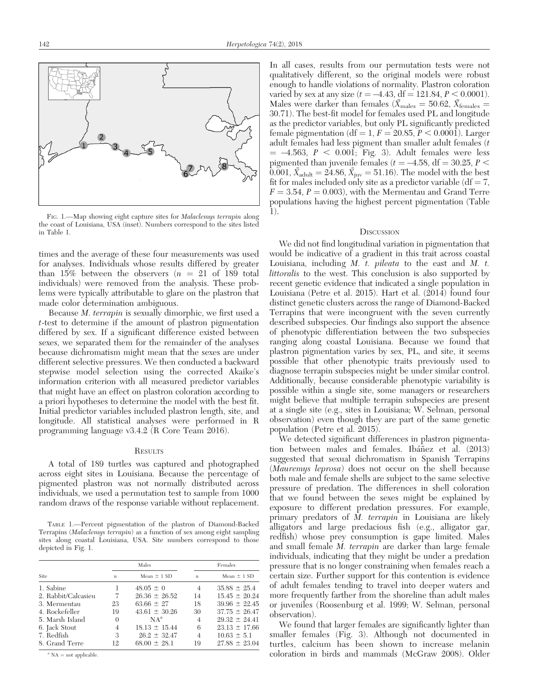

FIG. 1.-Map showing eight capture sites for *Malaclemus terrapin* along the coast of Louisiana, USA (inset). Numbers correspond to the sites listed in Table 1.

times and the average of these four measurements was used for analyses. Individuals whose results differed by greater than 15% between the observers  $(n = 21 \text{ of } 189 \text{ total})$ individuals) were removed from the analysis. These problems were typically attributable to glare on the plastron that made color determination ambiguous.

Because M. terrapin is sexually dimorphic, we first used a t-test to determine if the amount of plastron pigmentation differed by sex. If a significant difference existed between sexes, we separated them for the remainder of the analyses because dichromatism might mean that the sexes are under different selective pressures. We then conducted a backward stepwise model selection using the corrected Akaike's information criterion with all measured predictor variables that might have an effect on plastron coloration according to a priori hypotheses to determine the model with the best fit. Initial predictor variables included plastron length, site, and longitude. All statistical analyses were performed in R programming language v3.4.2 (R Core Team 2016).

#### **RESULTS**

A total of 189 turtles was captured and photographed across eight sites in Louisiana. Because the percentage of pigmented plastron was not normally distributed across individuals, we used a permutation test to sample from 1000 random draws of the response variable without replacement.

TABLE 1.—Percent pigmentation of the plastron of Diamond-Backed Terrapins (Malaclemys terrapin) as a function of sex among eight sampling sites along coastal Louisiana, USA. Site numbers correspond to those depicted in Fig. 1.

| Site                | Males            |                   | Females          |                   |
|---------------------|------------------|-------------------|------------------|-------------------|
|                     | $\boldsymbol{n}$ | Mean $\pm$ 1 SD   | $\boldsymbol{n}$ | Mean $\pm$ 1 SD   |
| 1. Sabine           |                  | $48.05 \pm 0$     | 4                | $35.88 \pm 25.4$  |
| 2. Rabbit/Calcasieu | 7                | $26.36 \pm 26.52$ | 14               | $15.45 \pm 20.24$ |
| 3. Mermentau        | 23               | $63.66 \pm 27$    | 18               | $39.96 \pm 22.45$ |
| 4. Rockefeller      | 19               | $43.61 \pm 30.26$ | 30               | $37.75 \pm 26.47$ |
| 5. Marsh Island     | $\theta$         | $NA^a$            | $\overline{4}$   | $29.32 \pm 24.41$ |
| 6. Jack Stout       | 4                | $18.13 \pm 15.44$ | 6                | $23.13 \pm 17.66$ |
| 7. Redfish          | 3                | $26.2 \pm 32.47$  | $\overline{4}$   | $10.63 \pm 5.1$   |
| 8. Grand Terre      | 12               | $68.00 \pm 28.1$  | 19               | $27.88 \pm 23.04$ |

 $A^a$  NA = not applicable.

In all cases, results from our permutation tests were not qualitatively different, so the original models were robust enough to handle violations of normality. Plastron coloration varied by sex at any size  $(t = -4.43, df = 121.84, P < 0.0001)$ . Males were darker than females ( $\bar{X}_{\text{males}} = 50.62$ ,  $\bar{X}_{\text{females}} =$ 30.71). The best-fit model for females used PL and longitude as the predictor variables, but only PL significantly predicted female pigmentation (df = 1,  $F = 20.85, P \lt 0.0001$ ). Larger adult females had less pigment than smaller adult females (t  $= -4.563, P < 0.001$ ; Fig. 3). Adult females were less pigmented than juvenile females ( $t = -4.58$ , df = 30.25,  $P$  < 0.001,  $\bar{X}_{\text{adult}} = 24.86, \bar{X}_{\text{juv}} = 51.16$ ). The model with the best fit for males included only site as a predictor variable  $(df = 7$ ,  $F = 3.54$ ,  $P = 0.003$ , with the Mermentau and Grand Terre populations having the highest percent pigmentation (Table  $\overline{1}$ ).

## **DISCUSSION**

We did not find longitudinal variation in pigmentation that would be indicative of a gradient in this trait across coastal Louisiana, including  $M$ .  $t$ . *pileata* to the east and  $M$ .  $t$ . littoralis to the west. This conclusion is also supported by recent genetic evidence that indicated a single population in Louisiana (Petre et al. 2015). Hart et al. (2014) found four distinct genetic clusters across the range of Diamond-Backed Terrapins that were incongruent with the seven currently described subspecies. Our findings also support the absence of phenotypic differentiation between the two subspecies ranging along coastal Louisiana. Because we found that plastron pigmentation varies by sex, PL, and site, it seems possible that other phenotypic traits previously used to diagnose terrapin subspecies might be under similar control. Additionally, because considerable phenotypic variability is possible within a single site, some managers or researchers might believe that multiple terrapin subspecies are present at a single site (e.g., sites in Louisiana; W. Selman, personal observation) even though they are part of the same genetic population (Petre et al. 2015).

We detected significant differences in plastron pigmentation between males and females. Ibañez et al.  $(2013)$ suggested that sexual dichromatism in Spanish Terrapins (Mauremys leprosa) does not occur on the shell because both male and female shells are subject to the same selective pressure of predation. The differences in shell coloration that we found between the sexes might be explained by exposure to different predation pressures. For example, primary predators of  $\overline{M}$ . terrapin in Louisiana are likely alligators and large predacious fish (e.g., alligator gar, redfish) whose prey consumption is gape limited. Males and small female M. terrapin are darker than large female individuals, indicating that they might be under a predation pressure that is no longer constraining when females reach a certain size. Further support for this contention is evidence of adult females tending to travel into deeper waters and more frequently farther from the shoreline than adult males or juveniles (Roosenburg et al. 1999; W. Selman, personal observation).

We found that larger females are significantly lighter than smaller females (Fig. 3). Although not documented in turtles, calcium has been shown to increase melanin coloration in birds and mammals (McGraw 2008). Older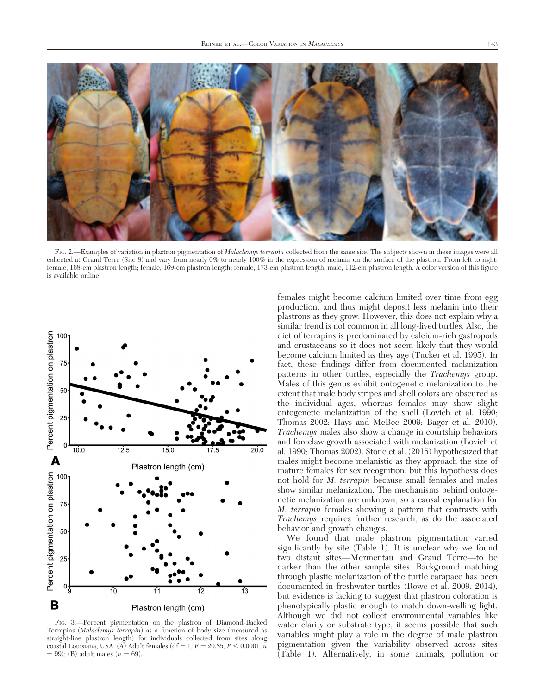

FIG. 2.—Examples of variation in plastron pigmentation of Malaclemys terrapin collected from the same site. The subjects shown in these images were all collected at Grand Terre (Site 8) and vary from nearly 0% to nearly 100% in the expression of melanin on the surface of the plastron. From left to right: female, 168-cm plastron length; female, 169-cm plastron length; female, 173-cm plastron length; male, 112-cm plastron length. A color version of this figure is available online.



FIG. 3.—Percent pigmentation on the plastron of Diamond-Backed Terrapins (Malaclemys terrapin) as a function of body size (measured as straight-line plastron length) for individuals collected from sites along coastal Louisiana, USA. (A) Adult females (df = 1,  $F = 20.85, P \le 0.0001, n$  $= 99$ ); (B) adult males ( $n = 69$ ).

females might become calcium limited over time from egg production, and thus might deposit less melanin into their plastrons as they grow. However, this does not explain why a similar trend is not common in all long-lived turtles. Also, the diet of terrapins is predominated by calcium-rich gastropods and crustaceans so it does not seem likely that they would become calcium limited as they age (Tucker et al. 1995). In fact, these findings differ from documented melanization patterns in other turtles, especially the *Trachemys* group. Males of this genus exhibit ontogenetic melanization to the extent that male body stripes and shell colors are obscured as the individual ages, whereas females may show slight ontogenetic melanization of the shell (Lovich et al. 1990; Thomas 2002; Hays and McBee 2009; Bager et al. 2010). Trachemys males also show a change in courtship behaviors and foreclaw growth associated with melanization (Lovich et al. 1990; Thomas 2002). Stone et al. (2015) hypothesized that males might become melanistic as they approach the size of mature females for sex recognition, but this hypothesis does not hold for M. terrapin because small females and males show similar melanization. The mechanisms behind ontogenetic melanization are unknown, so a causal explanation for M. terrapin females showing a pattern that contrasts with Trachemys requires further research, as do the associated behavior and growth changes.

We found that male plastron pigmentation varied significantly by site (Table 1). It is unclear why we found two distant sites—Mermentau and Grand Terre—to be darker than the other sample sites. Background matching through plastic melanization of the turtle carapace has been documented in freshwater turtles (Rowe et al. 2009, 2014), but evidence is lacking to suggest that plastron coloration is phenotypically plastic enough to match down-welling light. Although we did not collect environmental variables like water clarity or substrate type, it seems possible that such variables might play a role in the degree of male plastron pigmentation given the variability observed across sites (Table 1). Alternatively, in some animals, pollution or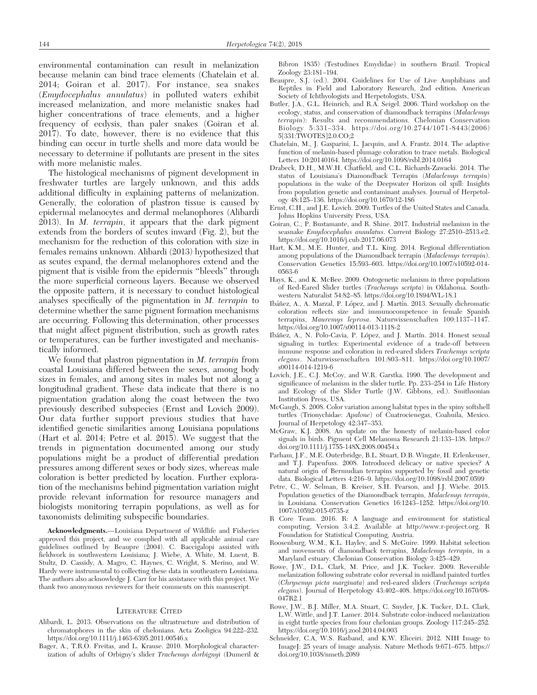environmental contamination can result in melanization because melanin can bind trace elements (Chatelain et al. 2014; Goiran et al. 2017). For instance, sea snakes (Emydocephalus annulatus) in polluted waters exhibit increased melanization, and more melanistic snakes had higher concentrations of trace elements, and a higher frequency of ecdysis, than paler snakes (Goiran et al. 2017). To date, however, there is no evidence that this binding can occur in turtle shells and more data would be necessary to determine if pollutants are present in the sites with more melanistic males.

The histological mechanisms of pigment development in freshwater turtles are largely unknown, and this adds additional difficulty in explaining patterns of melanization. Generally, the coloration of plastron tissue is caused by epidermal melanocytes and dermal melanophores (Alibardi 2013). In M. terrapin, it appears that the dark pigment extends from the borders of scutes inward (Fig. 2), but the mechanism for the reduction of this coloration with size in females remains unknown. Alibardi (2013) hypothesized that as scutes expand, the dermal melanophores extend and the pigment that is visible from the epidermis ''bleeds'' through the more superficial corneous layers. Because we observed the opposite pattern, it is necessary to conduct histological analyses specifically of the pigmentation in M. terrapin to determine whether the same pigment formation mechanisms are occurring. Following this determination, other processes that might affect pigment distribution, such as growth rates or temperatures, can be further investigated and mechanistically informed.

We found that plastron pigmentation in *M. terrapin* from coastal Louisiana differed between the sexes, among body sizes in females, and among sites in males but not along a longitudinal gradient. These data indicate that there is no pigmentation gradation along the coast between the two previously described subspecies (Ernst and Lovich 2009). Our data further support previous studies that have identified genetic similarities among Louisiana populations (Hart et al. 2014; Petre et al. 2015). We suggest that the trends in pigmentation documented among our study populations might be a product of differential predation pressures among different sexes or body sizes, whereas male coloration is better predicted by location. Further exploration of the mechanisms behind pigmentation variation might provide relevant information for resource managers and biologists monitoring terrapin populations, as well as for taxonomists delimiting subspecific boundaries.

Acknowledgments.—Louisiana Department of Wildlife and Fisheries approved this project, and we complied with all applicable animal care guidelines outlined by Beaupre (2004). C. Baccigalopi assisted with fieldwork in southwestern Louisiana; J. Wiebe, A. White, M. Luent, B. Stultz, D. Cassidy, A. Magro, C. Haynes, C. Wright, S. Merino, and W. Hardy were instrumental to collecting these data in southeastern Louisiana. The authors also acknowledge J. Carr for his assistance with this project. We thank two anonymous reviewers for their comments on this manuscript.

#### LITERATURE CITED

- Alibardi, L. 2013. Observations on the ultrastructure and distribution of chromatophores in the skin of chelonians. Acta Zooligica 94:222–232. https://doi.org/10.1111/j.1463-6395.2011.00546.x
- Bager, A., T.R.O. Freitas, and L. Krause. 2010. Morphological characterization of adults of Orbigny's slider Trachemys dorbignyi (Dumeril &

Bibron 1835) (Testudines Emydidae) in southern Brazil. Tropical Zoology 23:181–194.

- Beaupre, S.J. (ed.). 2004. Guidelines for Use of Live Amphibians and Reptiles in Field and Laboratory Research, 2nd edition. American Society of Ichthyologists and Herpetologists, USA.
- Butler, J.A., G.L. Heinrich, and R.A. Seigel. 2006. Third workshop on the ecology, status, and conservation of diamondback terrapins (Malaclemys terrapin): Results and recommendations. Chelonian Conservation Biology 5:331–334. https://doi.org/10.2744/1071-8443(2006) 5[331:TWOTES]2.0.CO;2
- Chatelain, M., J. Gasparini, L. Jacquin, and A. Frantz. 2014. The adaptive function of melanin-based plumage coloration to trace metals. Biological Letters 10:20140164. https://doi.org/10.1098/rsbl.2014.0164
- Drabeck, D.H., M.W.H. Chatfield, and C.L. Richards-Zawacki. 2014. The status of Louisiana's Diamondback Terrapin (Malaclemys terrapin) populations in the wake of the Deepwater Horizon oil spill: Insights from population genetic and contaminant analyses. Journal of Herpetology 48:125–136. https://doi.org/10.1670/12-186
- Ernst, C.H., and J.E. Lovich. 2009. Turtles of the United States and Canada. Johns Hopkins University Press, USA.
- Goiran, C., P. Bustamante, and R. Shine. 2017. Industrial melanism in the seasnake Emydocephalus annulatus. Current Biology 27:2510–2513.e2. https://doi.org/10.1016/j.cub.2017.06.073
- Hart, K.M., M.E. Hunter, and T.L. King. 2014. Regional differentiation among populations of the Diamondback terrapin (Malaclemys terrapin). Conservation Genetics 15:593–603. https://doi.org/10.1007/s10592-014- 0563-6
- Hays, K., and K. McBee. 2009. Ontogenetic melanism in three populations of Red-Eared Slider turtles (Trachemys scripta) in Oklahoma. Southwestern Naturalist 54:82–85. https://doi.org/10.1894/WL-18.1
- Ibáñez, A., A. Marzal, P. López, and J. Martín. 2013. Sexually dichromatic coloration reflects size and immunocompetence in female Spanish terrapins, Mauremys leprosa. Naturwissenschaften 100:1137-1147. https://doi.org/10.1007/s00114-013-1118-2
- Ibáñez, A., N. Polo-Cavia, P. López, and J. Martín. 2014. Honest sexual signaling in turtles: Experimental evidence of a trade-off between immune response and coloration in red-eared sliders Trachemys scripta elegans. Naturwissenschaften 101:803–811. https://doi.org/10.1007/ s00114-014-1219-6
- Lovich, J.E., C.J. McCoy, and W.R. Garstka. 1990. The development and significance of melanism in the slider turtle. Pp. 233–254 in Life History and Ecology of the Slider Turtle (J.W. Gibbons, ed.). Smithsonian Institution Press, USA.
- McGaugh, S. 2008. Color variation among habitat types in the spiny softshell turtles (Trionychidae: Apalone) of Cuatrocienegas, Coahuila, Mexico. Journal of Herpetology 42:347–353.
- McGraw, K.J. 2008. An update on the honesty of melanin-based color signals in birds. Pigment Cell Melanoma Research 21:133–138. https:// doi.org/10.1111/j.1755-148X.2008.00454.x
- Parham, J.F., M.E. Outerbridge, B.L. Stuart, D.B. Wingate, H. Erlenkeuser, and T.J. Papenfuss. 2008. Introduced delicacy or native species? A natural origin of Bermudian terrapins supported by fossil and genetic data. Biological Letters 4:216–9. https://doi.org/10.1098/rsbl.2007.0599
- Petre, C., W. Selman, B. Kreiser, S.H. Pearson, and J.J. Wiebe. 2015. Population genetics of the Diamondback terrapin, Malaclemys terrapin, in Louisiana. Conservation Genetics 16:1243–1252. https://doi.org/10. 1007/s10592-015-0735-z
- R Core Team. 2016. R: A language and environment for statistical computing, Version 3.4.2. Available at http://www.r-project.org. R Foundation for Statistical Computing, Austria.
- Roosenburg, W.M., K.L. Hayley, and S. McGuire. 1999. Habitat selection and movements of diamondback terrapins, Malaclemys terrapin, in a Maryland estuary. Chelonian Conservation Biology 3:425–429.
- Rowe, J.W., D.L. Clark, M. Price, and J.K. Tucker. 2009. Reversible melanization following substrate color reversal in midland painted turtles (Chrysemys picta marginata) and red-eared sliders (Trachemys scripta elegans). Journal of Herpetology 43:402–408. https://doi.org/10.1670/08- 047R2.1
- Rowe, J.W., B.J. Miller, M.A. Stuart, C. Snyder, J.K. Tucker, D.L. Clark, L.W. Wittle, and J.T. Lamer. 2014. Substrate color-induced melanization in eight turtle species from four chelonian groups. Zoology 117:245–252. https://doi.org/10.1016/j.zool.2014.04.003
- Schneider, C.A, W.S. Rasband, and K.W. Eliceiri. 2012. NIH Image to ImageJ: 25 years of image analysis. Nature Methods 9:671–675. https:// doi.org/10.1038/nmeth.2089